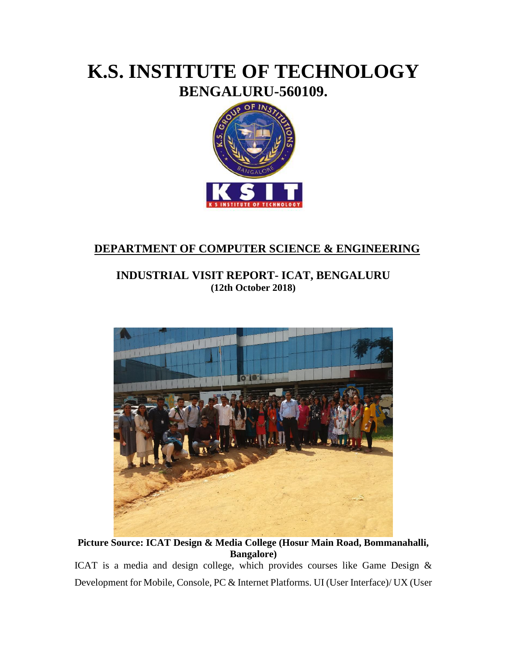## **K.S. INSTITUTE OF TECHNOLOGY BENGALURU-560109.**



## **DEPARTMENT OF COMPUTER SCIENCE & ENGINEERING**

## **INDUSTRIAL VISIT REPORT- ICAT, BENGALURU (12th October 2018)**



**Picture Source: ICAT Design & Media College (Hosur Main Road, Bommanahalli, Bangalore)**

ICAT is a media and design college, which provides courses like Game Design & Development for Mobile, Console, PC & Internet Platforms. UI (User Interface)/ UX (User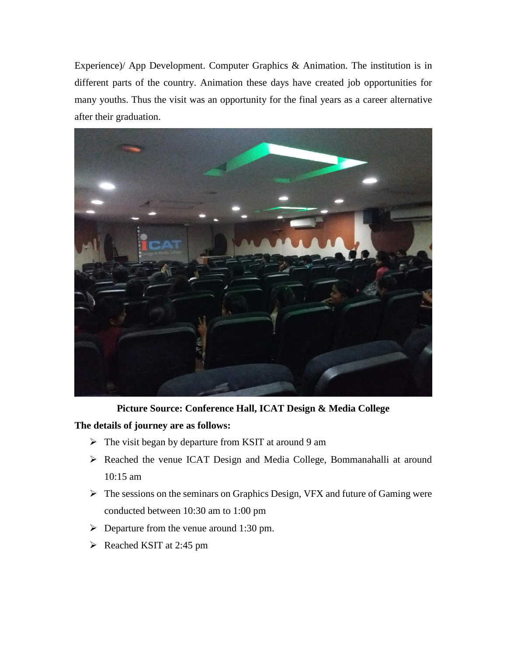Experience)/ App Development. Computer Graphics & Animation. The institution is in different parts of the country. Animation these days have created job opportunities for many youths. Thus the visit was an opportunity for the final years as a career alternative after their graduation.



**Picture Source: Conference Hall, ICAT Design & Media College**

**The details of journey are as follows:**

- $\triangleright$  The visit began by departure from KSIT at around 9 am
- Reached the venue ICAT Design and Media College, Bommanahalli at around 10:15 am
- $\triangleright$  The sessions on the seminars on Graphics Design, VFX and future of Gaming were conducted between 10:30 am to 1:00 pm
- $\triangleright$  Departure from the venue around 1:30 pm.
- $\triangleright$  Reached KSIT at 2:45 pm